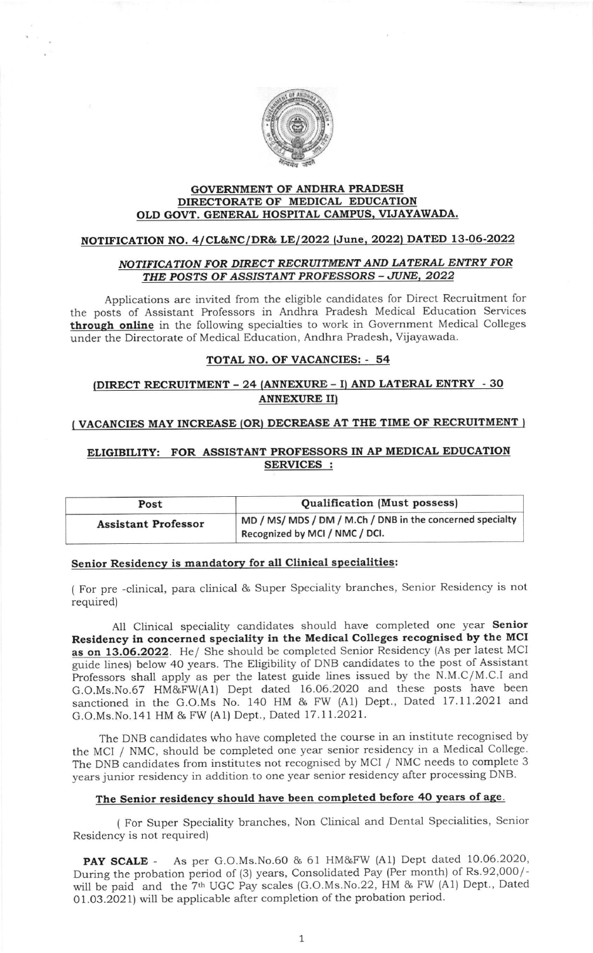

#### GOVERNMENT OF ANDHRA PRADESH DIRECTORATE OF MEDICAL EDUCATION OLD GOVT. GENERAL HOSPITAL CAMPUS, VIJAYAWADA.

# NOTIFICATION NO. 4/CL&NC/DR& LE/2022 (June, 2022) DATED 13-06-2022

### NOTIFICATION FOR DIRECT RECRUITMENT AND LATERAL ENTRY FOR THE POSTS OF ASSISTANT PROFESSORS - JUNE, 2022

Applications are invited from the eligible candidates for Direct Recruitment for the posts of Assistant Professors in Andhra Pradesh Medical Education Services through online in the following specialties to work in Government Medical Colleges under the Directorate of Medical Education, Andhra Pradesh, Vijayawada.

## TOTAL NO. OF VACANCIES: - 54

## $DIRECT RECRUITMENT - 24 (ANNEXURE - I) AND LATERAL ENTRY - 30$ ANNEXURE II}

#### (VACANCIES MAY INCREASE (OR) DECREASE AT THE TIME OF RECRUITMENT

# ELIGIBILITY: FOR ASSISTANT PROFESSORS IN AP MEDICAL EDUCATION SERVICES :

| Post                       | <b>Qualification (Must possess)</b>                                                         |
|----------------------------|---------------------------------------------------------------------------------------------|
| <b>Assistant Professor</b> | MD / MS/ MDS / DM / M.Ch / DNB in the concerned specialty<br>Recognized by MCI / NMC / DCI. |

#### Senior Residencv is mandatory for all Clinical specialities:

( For pre -clinical, para clinical & Super Speciality branches, Senior Residency is not required)

All Clinical speciality candidates should have completed one year Senior Residency in concerned speciality in the Medical Colleges recognised by the MCI as on 13.06.2O22. He/ She should be completed Senior Residency (As per latest MCI guide lines) below 40 years. The Eligibility of DNB candidates to the post of Assistant Professors shall apply as per the latest guide lines issued by the N.M.C/M.C.I and G.O.Ms.No.67 HM&FW(A1) Dept dated 16.06.2020 and these posts have been sanctioned in the G.O.Ms No. 140 HM & FW (A1) Dept., Dated 17.11.2021 and G.O.Ms.No.141 HM & FW (A1) Dept., Dated 17.11.2021.

The DNB candidates who have completed the course in an institute recognised by the MCI / NMC, should be completed one year senior residency in a Medical college. The DNB candidates from institutes not recognised by MCI / NMC needs to complete <sup>3</sup> years junior residency in addition to one year senior residency after processing DNB.

# The Senior residency should have been completed before 40 years of age.

( For Super Speciality branches, Non Clinical and Dental Specialities, Senior Residency is not required)

PAY SCALE - As per G.O.Ms.No.60 & 61 HM&FW (A1) Dept dated 10.06.2020, During the probation period of (3) years, Consolidated Pay (Per month) of Rs.92,000/will be paid and the 7th UGC Pay scales (G.O.Ms.No.22, HM & FW (A1) Dept., Dated 01.03.2021) will be applicable after completion of the probation period.